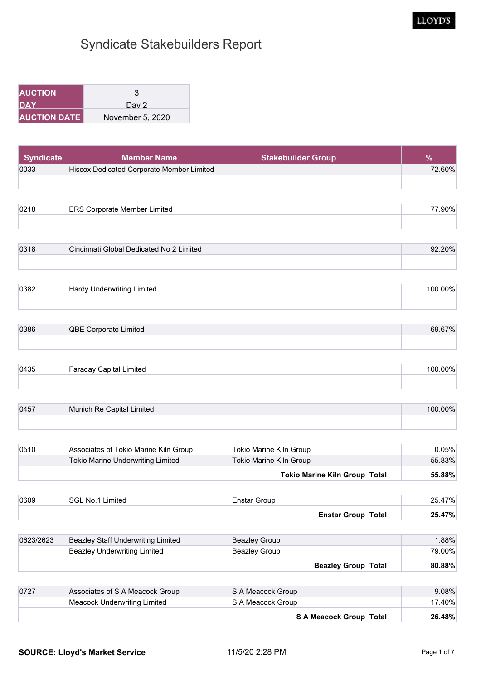| <b>IAUCTION</b> '    |                  |
|----------------------|------------------|
| IDAY                 | Dav 2            |
| <b>IAUCTION DATE</b> | November 5, 2020 |

| Syndicate | <b>Member Name</b>                        | <b>Stakebuilder Group</b> |        |
|-----------|-------------------------------------------|---------------------------|--------|
| 0033      | Hiscox Dedicated Corporate Member Limited |                           | 72.60% |
|           |                                           |                           |        |

| 0219 | Corporate Member Limited د | ገበ% |
|------|----------------------------|-----|
|      |                            |     |

| 0318 | Cincinnati Global Dedicated No 2 Limited | 20% |
|------|------------------------------------------|-----|
|      |                                          |     |

| 0382 | Limited<br>lenwritina | ∴∩∩°′<br>7٨ |
|------|-----------------------|-------------|
|      |                       |             |

| 0386 | <b>QBE Corporate Limited</b> | $0.67\%$<br>nч |
|------|------------------------------|----------------|
|      |                              |                |

| 0435 | Capital Limited<br>araday | 00% |
|------|---------------------------|-----|
|      |                           |     |

| 0457 | Capital Limited<br>∥Munich Re f | 20% |
|------|---------------------------------|-----|
|      |                                 |     |

| 0510 | Associates of Tokio Marine Kiln Group | Tokio Marine Kiln Group              | 0.05%  |
|------|---------------------------------------|--------------------------------------|--------|
|      | Tokio Marine Underwriting Limited     | Tokio Marine Kiln Group              | 55.83% |
|      |                                       | <b>Tokio Marine Kiln Group Total</b> | 55.88% |

| 0609 | <b>SGL No.1 Limited</b> | ∣Enstar Group             | 25.47% |
|------|-------------------------|---------------------------|--------|
|      |                         | <b>Enstar Group Total</b> | 25.47% |

| 0623/2623 | Beazley Staff Underwriting Limited | Beazley Group              | $.88\%$   |
|-----------|------------------------------------|----------------------------|-----------|
|           | Beazley Underwriting Limited       | Beazley Group              | 79.00%    |
|           |                                    | <b>Beazley Group Total</b> | $80.88\%$ |

| 0727 | Associates of S A Meacock Group | S A Meacock Group       | $9.08\%$ |
|------|---------------------------------|-------------------------|----------|
|      | Meacock Underwriting Limited    | S A Meacock Group       | 17.40%   |
|      |                                 | S A Meacock Group Total | 26.48%   |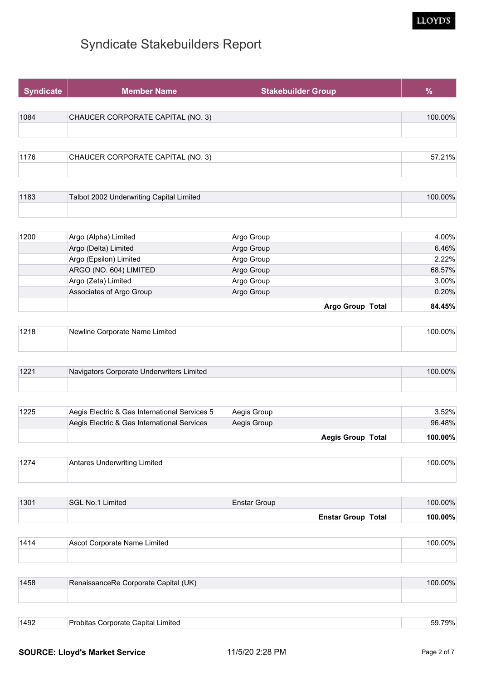

| <b>Syndicate</b> | <b>Member Name</b>                | <b>Stakebuilder Group</b> | %       |
|------------------|-----------------------------------|---------------------------|---------|
| 1084             | CHAUCER CORPORATE CAPITAL (NO. 3) |                           | 100.00% |
|                  |                                   |                           |         |
|                  |                                   |                           |         |
| 1176             | CHAUCER CORPORATE CAPITAL (NO. 3) |                           | 57.21%  |

| 1183 | Talbot 2002 Underwriting Capital Limited | $'00.00\%$ |
|------|------------------------------------------|------------|
|      |                                          |            |

|      |                          | Argo Group Total | 84.45% |
|------|--------------------------|------------------|--------|
|      | Associates of Argo Group | Argo Group       | 0.20%  |
|      | Argo (Zeta) Limited      | Argo Group       | 3.00%  |
|      | ARGO (NO. 604) LIMITED   | Argo Group       | 68.57% |
|      | Argo (Epsilon) Limited   | Argo Group       | 2.22%  |
|      | Argo (Delta) Limited     | Argo Group       | 6.46%  |
| 1200 | Argo (Alpha) Limited     | Argo Group       | 4.00%  |

| 1218 | _imited<br>াNewline Corporate Name L | $00\%$ |
|------|--------------------------------------|--------|
|      |                                      |        |

| 100. | Navigators Corporate Underwriters Limited | $100.00\%$ |
|------|-------------------------------------------|------------|
|      |                                           |            |

|      |                                               | <b>Aegis Group Total</b> | $100.00\%$ |
|------|-----------------------------------------------|--------------------------|------------|
|      | Aegis Electric & Gas International Services   | Aegis Group              | 96.48%     |
| 1225 | Aegis Electric & Gas International Services 5 | Aegis Group              | $3.52\%$   |

| 107<br>$\cdots$ | <b><i><u>Sedenariting</u></i></b> Limited<br>$  -$ | ገበ% |
|-----------------|----------------------------------------------------|-----|
|                 |                                                    |     |

| 1301 | SGL No.1 Limited | Enstar Group              | 100.00% |
|------|------------------|---------------------------|---------|
|      |                  | <b>Enstar Group Total</b> | 100.00% |

| 111 <sup>4</sup> | Ascot Corporate Name L<br>umited | ገበዐ/ |
|------------------|----------------------------------|------|
|                  |                                  |      |

| 1458 | RenaissanceRe Corporate Capital (UK) | 100.00% |
|------|--------------------------------------|---------|
|      |                                      |         |
|      |                                      |         |
| 1492 | Probitas Corporate Capital Limited   | 59.79%  |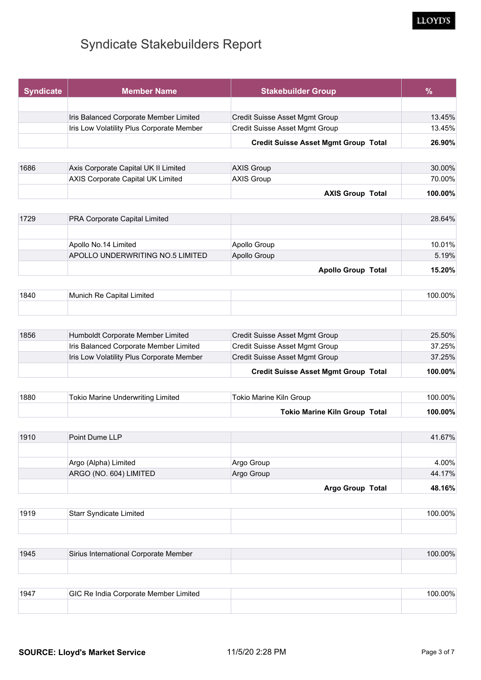| <b>Syndicate</b> | <b>Member Name</b>                        | <b>Stakebuilder Group</b>                   | $\%$   |
|------------------|-------------------------------------------|---------------------------------------------|--------|
|                  |                                           |                                             |        |
|                  | Iris Balanced Corporate Member Limited    | Credit Suisse Asset Mgmt Group              | 13.45% |
|                  | Iris Low Volatility Plus Corporate Member | Credit Suisse Asset Mgmt Group              | 13.45% |
|                  |                                           | <b>Credit Suisse Asset Mgmt Group Total</b> | 26.90% |
| 1686             | Axis Corporate Capital UK II Limited      | <b>AXIS Group</b>                           | 30.00% |

|      |                                        | <b>AXIS Group Total</b> | $100.00\%$     |
|------|----------------------------------------|-------------------------|----------------|
|      | AXIS Corporate Capital UK Limited      | <b>AXIS Group</b>       | 70.00%         |
| 1000 | AXIS COIDOIALE CADILAI UN II LIIIIILEU | <b>AAIS GIUUP</b>       | <b>30.0070</b> |

| 1729 | <b>PRA Corporate Capital Limited</b> |                           | 28.64% |
|------|--------------------------------------|---------------------------|--------|
|      |                                      |                           |        |
|      | Apollo No.14 Limited                 | Apollo Group              | 10.01% |
|      | APOLLO UNDERWRITING NO.5 LIMITED     | Apollo Group              | 5.19%  |
|      |                                      | <b>Apollo Group Total</b> | 15.20% |

| 1840 | <b>Capital Limited</b><br>⊺Munich Re ( | 00.00% |
|------|----------------------------------------|--------|
|      |                                        |        |

| 1856 | Humboldt Corporate Member Limited         | Credit Suisse Asset Mgmt Group              | 25.50%  |
|------|-------------------------------------------|---------------------------------------------|---------|
|      | Iris Balanced Corporate Member Limited    | Credit Suisse Asset Mgmt Group              | 37.25%  |
|      | Iris Low Volatility Plus Corporate Member | Credit Suisse Asset Mgmt Group              | 37.25%  |
|      |                                           | <b>Credit Suisse Asset Mgmt Group Total</b> | 100.00% |

| 1880 | Tokio Marine Underwriting Limited | Tokio Marine Kiln Group       | 100.00%    |
|------|-----------------------------------|-------------------------------|------------|
|      |                                   | Tokio Marine Kiln Group Total | $100.00\%$ |

| 1910 | Point Dume LLP         |            |                         | 41.67% |
|------|------------------------|------------|-------------------------|--------|
|      |                        |            |                         |        |
|      | Argo (Alpha) Limited   | Argo Group |                         | 4.00%  |
|      | ARGO (NO. 604) LIMITED | Argo Group |                         | 44.17% |
|      |                        |            | <b>Argo Group Total</b> | 48.16% |

| 1910 | ∣Starr Syndicate<br>Limited. | 100,00% |
|------|------------------------------|---------|
|      |                              |         |

| 1945 | Sirius International Corporate Member | $100.00\%$ |
|------|---------------------------------------|------------|
|      |                                       |            |

| 1947 | <b>IGIC Re India Corporate Member Limited</b> | $.00\%$ |
|------|-----------------------------------------------|---------|
|      |                                               |         |

LLOYD'S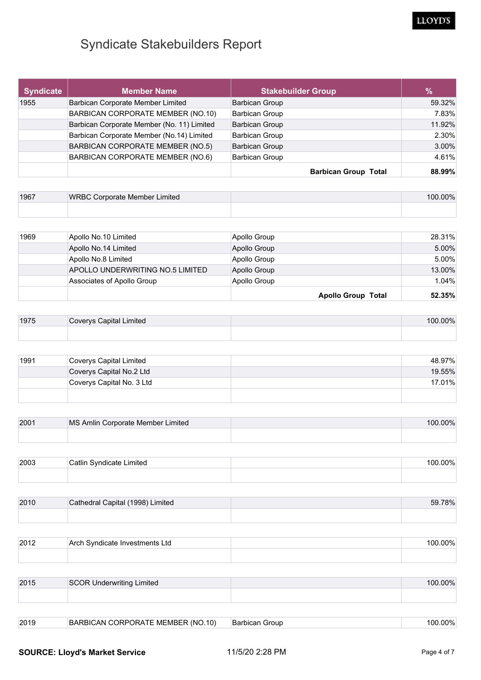#### LLOYD'S

## Syndicate Stakebuilders Report

| <b>Syndicate</b> | <b>Member Name</b>                         | <b>Stakebuilder Group</b>   | %      |
|------------------|--------------------------------------------|-----------------------------|--------|
| 1955             | Barbican Corporate Member Limited          | <b>Barbican Group</b>       | 59.32% |
|                  | BARBICAN CORPORATE MEMBER (NO.10)          | <b>Barbican Group</b>       | 7.83%  |
|                  | Barbican Corporate Member (No. 11) Limited | <b>Barbican Group</b>       | 11.92% |
|                  | Barbican Corporate Member (No.14) Limited  | <b>Barbican Group</b>       | 2.30%  |
|                  | BARBICAN CORPORATE MEMBER (NO.5)           | <b>Barbican Group</b>       | 3.00%  |
|                  | BARBICAN CORPORATE MEMBER (NO.6)           | <b>Barbican Group</b>       | 4.61%  |
|                  |                                            | <b>Barbican Group Total</b> | 88.99% |

| 1967 | WRBC Corporate Member Limited | 20% |
|------|-------------------------------|-----|
|      |                               |     |

|      |                                  | <b>Apollo Group Total</b> | 52.35%   |
|------|----------------------------------|---------------------------|----------|
|      | Associates of Apollo Group       | Apollo Group              | 1.04%    |
|      | APOLLO UNDERWRITING NO.5 LIMITED | Apollo Group              | 13.00%   |
|      | Apollo No.8 Limited              | Apollo Group              | 5.00%    |
|      | Apollo No.14 Limited             | Apollo Group              | $5.00\%$ |
| 1969 | Apollo No.10 Limited             | Apollo Group              | 28.31%   |

| 1975 | ೧overys Capital Limited | 20% |
|------|-------------------------|-----|
|      |                         |     |

| 1991 | Coverys Capital Limited   | 48.97% |
|------|---------------------------|--------|
|      | Coverys Capital No.2 Ltd  | 19.55% |
|      | Coverys Capital No. 3 Ltd | 17.01% |
|      |                           |        |

| 2001 | MS Amlin Corporate Member Limited | 100.00% |
|------|-----------------------------------|---------|
|      |                                   |         |

| 2003 | atlin Svndicate Limited: ،<br>$\sim$ $\sim$ $\sim$ $\sim$ $\sim$ $\sim$ $\sim$ | שחח חר<br>70 |
|------|--------------------------------------------------------------------------------|--------------|
|      |                                                                                |              |

| 2010 | Cathedral Capital (1998) Limited | 59.78% |
|------|----------------------------------|--------|
|      |                                  |        |

| 2012 | ∟td<br>⊟Arch Syndicate Investments ! | በበ% |
|------|--------------------------------------|-----|
|      |                                      |     |

| 2015 | SCOR Underwriting Limited | 100.00% |
|------|---------------------------|---------|
|      |                           |         |
|      |                           |         |

2019 BARBICAN CORPORATE MEMBER (NO.10) Barbican Group 100.00%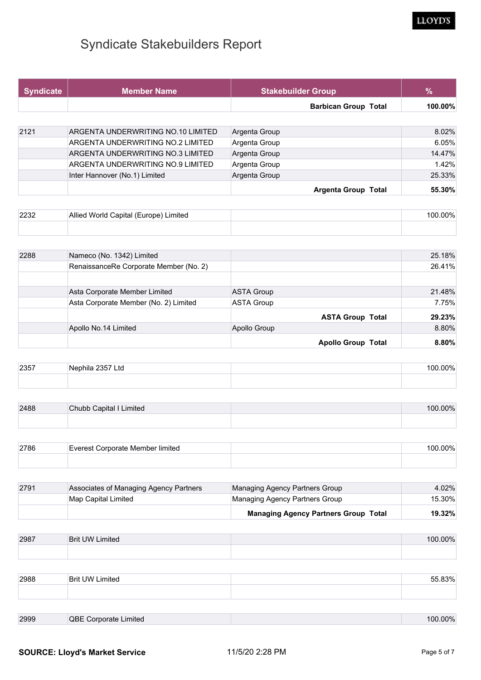| <b>Syndicate</b> | <b>Member Name</b>                 | <b>Stakebuilder Group</b>   | $\%$    |
|------------------|------------------------------------|-----------------------------|---------|
|                  |                                    | <b>Barbican Group Total</b> | 100.00% |
|                  |                                    |                             |         |
| 2121             | ARGENTA UNDERWRITING NO.10 LIMITED | Argenta Group               | 8.02%   |
|                  | ARGENTA UNDERWRITING NO.2 LIMITED  | Argenta Group               | 6.05%   |
|                  | ARGENTA UNDERWRITING NO.3 LIMITED  | Argenta Group               | 14.47%  |
|                  | ARGENTA UNDERWRITING NO.9 LIMITED  | Argenta Group               | 1.42%   |
|                  | Inter Hannover (No.1) Limited      | Argenta Group               | 25.33%  |
|                  |                                    | <b>Argenta Group Total</b>  | 55.30%  |

| 2232 | Allied World Capital (Europe)<br>Limited | <u>ባበ% </u> |
|------|------------------------------------------|-------------|
|      |                                          |             |

| 2288 | Nameco (No. 1342) Limited              |                   |                           | 25.18% |
|------|----------------------------------------|-------------------|---------------------------|--------|
|      | RenaissanceRe Corporate Member (No. 2) |                   |                           | 26.41% |
|      |                                        |                   |                           |        |
|      | Asta Corporate Member Limited          | ASTA Group        |                           | 21.48% |
|      | Asta Corporate Member (No. 2) Limited  | <b>ASTA Group</b> |                           | 7.75%  |
|      |                                        |                   | <b>ASTA Group Total</b>   | 29.23% |
|      | Apollo No.14 Limited                   | Apollo Group      |                           | 8.80%  |
|      |                                        |                   | <b>Apollo Group Total</b> | 8.80%  |

| 2357 | enhila<br>Lta<br>. ר:כ | 20% |
|------|------------------------|-----|
|      |                        |     |

| 2488 | Chubb Capital I Limited | $00\%$ |
|------|-------------------------|--------|
|      |                         |        |

| 2786 | Everest Corporate Member limited | $00\%$ |
|------|----------------------------------|--------|
|      |                                  |        |

| 2791 | Associates of Managing Agency Partners | Managing Agency Partners Group              | 4.02%     |
|------|----------------------------------------|---------------------------------------------|-----------|
|      | Map Capital Limited                    | Managing Agency Partners Group              | 15.30%⊧   |
|      |                                        | <b>Managing Agency Partners Group Total</b> | $19.32\%$ |

| 2987 | <b>Brit UW Limited</b> | 100.00% |
|------|------------------------|---------|
|      |                        |         |

| 2988 | <b>Brit UW Limited</b> | 83% |
|------|------------------------|-----|
|      |                        |     |

| 2999 | QBE<br>Limited<br>Corporate | $00\%$ |
|------|-----------------------------|--------|
|      |                             |        |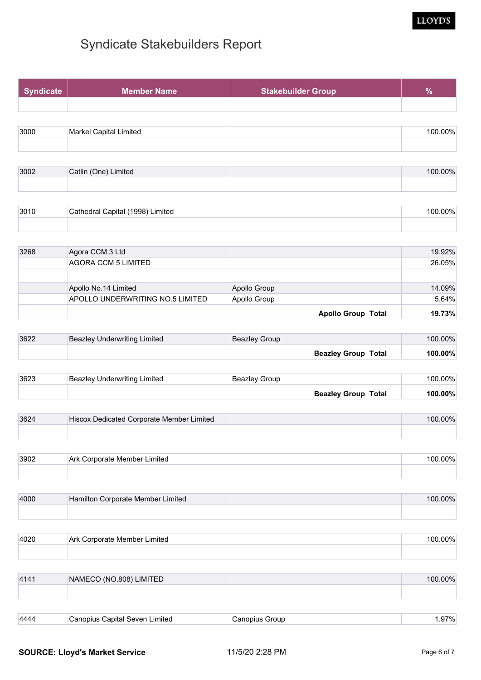#### LLOYD'S

| <b>Syndicate</b> | <b>Member Name</b>            | <b>Stakebuilder Group</b> | %       |
|------------------|-------------------------------|---------------------------|---------|
|                  |                               |                           |         |
|                  |                               |                           |         |
| 3000             | <b>Markel Capital Limited</b> |                           | 100.00% |
|                  |                               |                           |         |

| 3002 | Catlin (One) Limited | 100.00% |
|------|----------------------|---------|
|      |                      |         |

| 3010 | Cathedral Capital (1998) I<br>Limited | $00\%$ |
|------|---------------------------------------|--------|
|      |                                       |        |

| 3268 | Agora CCM 3 Ltd                  |                           | 19.92% |
|------|----------------------------------|---------------------------|--------|
|      | <b>AGORA CCM 5 LIMITED</b>       |                           | 26.05% |
|      |                                  |                           |        |
|      | Apollo No.14 Limited             | Apollo Group              | 14.09% |
|      | APOLLO UNDERWRITING NO.5 LIMITED | Apollo Group              | 5.64%  |
|      |                                  | <b>Apollo Group Total</b> | 19.73% |

| 3622 | Beazley Underwriting Limited | <b>Beazley Group</b>       | 100.00%    |
|------|------------------------------|----------------------------|------------|
|      |                              | <b>Beazley Group Total</b> | $100.00\%$ |

| 3623 | Beazley Underwriting Limited | Beazley Group              | 100.00%    |
|------|------------------------------|----------------------------|------------|
|      |                              | <b>Beazley Group Total</b> | $100.00\%$ |

| 3624 | Hiscox Dedicated Corporate Member Limited | 100.00% |
|------|-------------------------------------------|---------|
|      |                                           |         |

| 3902 | Corporate Member Limited<br>Ark 1 | ገበ0/ |
|------|-----------------------------------|------|
|      |                                   |      |

| 4000 | Hamilton Corporate Member Limited | 100.00% |
|------|-----------------------------------|---------|
|      |                                   |         |

| 4020 | Ark Corporate Member Limited | $00\%$ |
|------|------------------------------|--------|
|      |                              |        |

| NAMECO (NO.808) LIMITED | 100.00% |
|-------------------------|---------|
|                         |         |
|                         |         |

| 444 | ימור<br>miter.<br>amiai<br>он<br>™ | יוור. | 770/<br>1.0170 |
|-----|------------------------------------|-------|----------------|
|     |                                    |       |                |